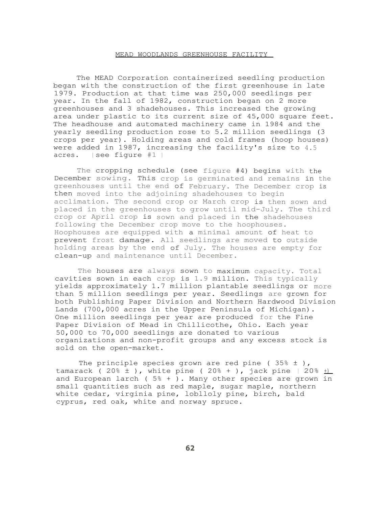## MEAD WOODLANDS GREENHOUSE FACILITY

The MEAD Corporation containerized seedling production began with the construction of the first greenhouse in late 1979. Production at that time was 250,000 seedlings per year. In the fall of 1982, construction began on 2 more greenhouses and 3 shadehouses. This increased the growing area under plastic to its current size of 45,000 square feet. The headhouse and automated machinery came in 1984 and the yearly seedling production rose to 5.2 million seedlings (3 crops per year). Holding areas and cold frames (hoop houses) were added in 1987, increasing the facility's size to 4.5 acres. ( see figure #1 )

The cropping schedule (see figure #4) begins with the December sowing. This crop is germinated and remains in the greenhouses until the end of February. The December crop is then moved into the adjoining shadehouses to begin acclimation. The second crop or March crop is then sown and placed in the greenhouses to grow until mid-July. The third crop or April crop is sown and placed in the shadehouses following the December crop move to the hoophouses. Hoophouses are equipped with a minimal amount of heat to prevent frost damage. All seedlings are moved to outside holding areas by the end of July. The houses are empty for clean-up and maintenance until December.

The houses are always sown to maximum capacity. Total cavities sown in each crop is 1.9 million. This typically yields approximately 1.7 million plantable seedlings or more than 5 million seedlings per year. Seedlings are grown for both Publishing Paper Division and Northern Hardwood Division Lands (700,000 acres in the Upper Peninsula of Michigan). One million seedlings per year are produced for the Fine Paper Division of Mead in Chillicothe, Ohio. Each year 50,000 to 70,000 seedlings are donated to various organizations and non-profit groups and any excess stock is sold on the open-market.

The principle species grown are red pine (35%  $\pm$  ), tamarack (  $20\% \pm$  ), white pine (  $20\% +$  ), jack pine (  $20\% +$ and European larch ( 5% + ). Many other species are grown in small quantities such as red maple, sugar maple, northern white cedar, virginia pine, loblloly pine, birch, bald cyprus, red oak, white and norway spruce.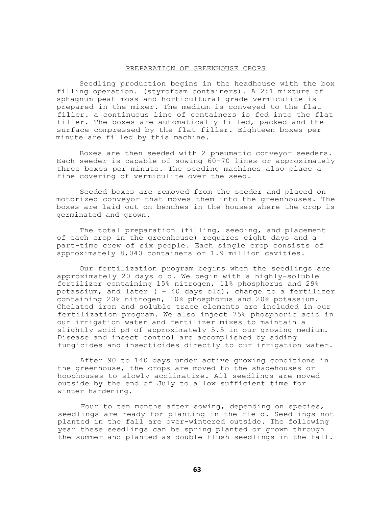## PREPARATION OF GREENHOUSE CROPS

Seedling production begins in the headhouse with the box filling operation. (styrofoam containers). A 2:1 mixture of sphagnum peat moss and horticultural grade vermiculite is prepared in the mixer. The medium is conveyed to the flat filler. a continuous line of containers is fed into the flat filler. The boxes are automatically filled, packed and the surface compressed by the flat filler. Eighteen boxes per minute are filled by this machine.

Boxes are then seeded with 2 pneumatic conveyor seeders. Each seeder is capable of sowing 60-70 lines or approximately three boxes per minute. The seeding machines also place a fine covering of vermiculite over the seed.

Seeded boxes are removed from the seeder and placed on motorized conveyor that moves them into the greenhouses. The boxes are laid out on benches in the houses where the crop is germinated and grown.

The total preparation (filling, seeding, and placement of each crop in the greenhouse) requires eight days and a part-time crew of six people. Each single crop consists of approximately 8,040 containers or 1.9 million cavities.

Our fertilization program begins when the seedlings are approximately 20 days old. We begin with a highly-soluble fertilizer containing 15% nitrogen, 11% phosphorus and 29% potassium, and later ( + 40 days old), change to a fertilizer containing 20% nitrogen, 10% phosphorus and 20% potassium. Chelated iron and soluble trace elements are included in our fertilization program. We also inject 75% phosphoric acid in our irrigation water and fertilizer mixes to maintain a slightly acid pH of approximately 5.5 in our growing medium. Disease and insect control are accomplished by adding fungicides and insecticides directly to our irrigation water.

After 90 to 140 days under active growing conditions in the greenhouse, the crops are moved to the shadehouses or hoophouses to slowly acclimatize. All seedlings are moved outside by the end of July to allow sufficient time for winter hardening.

Four to ten months after sowing, depending on species, seedlings are ready for planting in the field. Seedlings not planted in the fall are over-wintered outside. The following year these seedlings can be spring planted or grown through the summer and planted as double flush seedlings in the fall.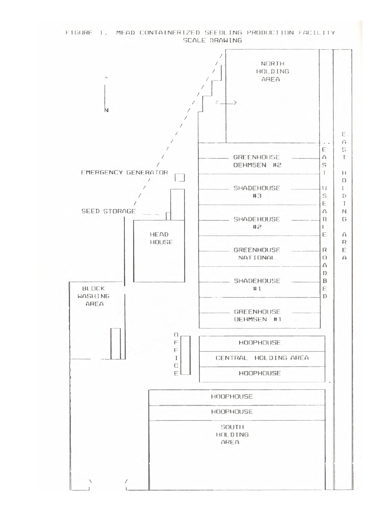FIGURE 1. MEAD CONTAINERIZED SEEDLING PRODUCTION FACILITY SCALE DRAWING